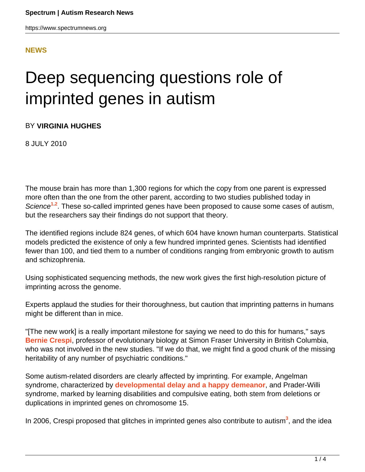https://www.spectrumnews.org

#### **[NEWS](HTTPS://WWW.SPECTRUMNEWS.ORG/NEWS/)**

# Deep sequencing questions role of imprinted genes in autism

BY **VIRGINIA HUGHES**

8 JULY 2010

The mouse brain has more than 1,300 regions for which the copy from one parent is expressed more often than the one from the other parent, according to two studies published today in Science<sup>1,2</sup>. These so-called imprinted genes have been proposed to cause some cases of autism, but the researchers say their findings do not support that theory.

The identified regions include 824 genes, of which 604 have known human counterparts. Statistical models predicted the existence of only a few hundred imprinted genes. Scientists had identified fewer than 100, and tied them to a number of conditions ranging from embryonic growth to autism and schizophrenia.

Using sophisticated sequencing methods, the new work gives the first high-resolution picture of imprinting across the genome.

Experts applaud the studies for their thoroughness, but caution that imprinting patterns in humans might be different than in mice.

"[The new work] is a really important milestone for saying we need to do this for humans," says **Bernie Crespi**, professor of evolutionary biology at Simon Fraser University in British Columbia, who was not involved in the new studies. "If we do that, we might find a good chunk of the missing heritability of any number of psychiatric conditions."

Some autism-related disorders are clearly affected by imprinting. For example, Angelman syndrome, characterized by **developmental delay and a happy demeanor**, and Prader-Willi syndrome, marked by learning disabilities and compulsive eating, both stem from deletions or duplications in imprinted genes on chromosome 15.

In 2006, Crespi proposed that glitches in imprinted genes also contribute to autism<sup>3</sup>, and the idea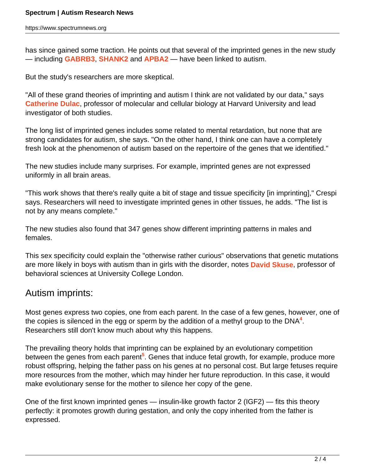has since gained some traction. He points out that several of the imprinted genes in the new study — including **GABRB3**, **SHANK2** and **APBA2** — have been linked to autism.

But the study's researchers are more skeptical.

"All of these grand theories of imprinting and autism I think are not validated by our data," says **Catherine Dulac**, professor of molecular and cellular biology at Harvard University and lead investigator of both studies.

The long list of imprinted genes includes some related to mental retardation, but none that are strong candidates for autism, she says. "On the other hand, I think one can have a completely fresh look at the phenomenon of autism based on the repertoire of the genes that we identified."

The new studies include many surprises. For example, imprinted genes are not expressed uniformly in all brain areas.

"This work shows that there's really quite a bit of stage and tissue specificity [in imprinting]," Crespi says. Researchers will need to investigate imprinted genes in other tissues, he adds. "The list is not by any means complete."

The new studies also found that 347 genes show different imprinting patterns in males and females.

This sex specificity could explain the "otherwise rather curious" observations that genetic mutations are more likely in boys with autism than in girls with the disorder, notes **David Skuse**, professor of behavioral sciences at University College London.

## Autism imprints:

Most genes express two copies, one from each parent. In the case of a few genes, however, one of the copies is silenced in the egg or sperm by the addition of a methyl group to the DNA<sup>4</sup>. Researchers still don't know much about why this happens.

The prevailing theory holds that imprinting can be explained by an evolutionary competition between the genes from each parent<sup>5</sup>. Genes that induce fetal growth, for example, produce more robust offspring, helping the father pass on his genes at no personal cost. But large fetuses require more resources from the mother, which may hinder her future reproduction. In this case, it would make evolutionary sense for the mother to silence her copy of the gene.

One of the first known imprinted genes — insulin-like growth factor 2 (IGF2) — fits this theory perfectly: it promotes growth during gestation, and only the copy inherited from the father is expressed.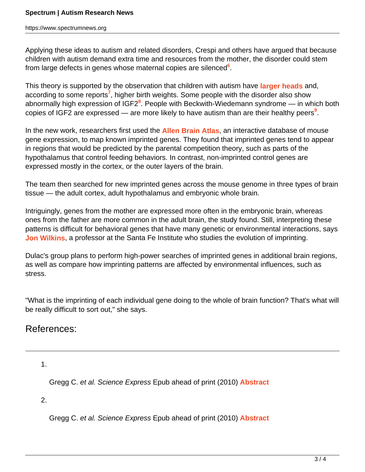Applying these ideas to autism and related disorders, Crespi and others have argued that because children with autism demand extra time and resources from the mother, the disorder could stem from large defects in genes whose maternal copies are silenced**<sup>6</sup>** .

This theory is supported by the observation that children with autism have **larger heads** and, according to some reports**<sup>7</sup>** , higher birth weights. Some people with the disorder also show abnormally high expression of IGF2**<sup>8</sup>** . People with Beckwith-Wiedemann syndrome — in which both copies of IGF2 are expressed — are more likely to have autism than are their healthy peers**<sup>9</sup>** .

In the new work, researchers first used the **Allen Brain Atlas**, an interactive database of mouse gene expression, to map known imprinted genes. They found that imprinted genes tend to appear in regions that would be predicted by the parental competition theory, such as parts of the hypothalamus that control feeding behaviors. In contrast, non-imprinted control genes are expressed mostly in the cortex, or the outer layers of the brain.

The team then searched for new imprinted genes across the mouse genome in three types of brain tissue — the adult cortex, adult hypothalamus and embryonic whole brain.

Intriguingly, genes from the mother are expressed more often in the embryonic brain, whereas ones from the father are more common in the adult brain, the study found. Still, interpreting these patterns is difficult for behavioral genes that have many genetic or environmental interactions, says **Jon Wilkins**, a professor at the Santa Fe Institute who studies the evolution of imprinting.

Dulac's group plans to perform high-power searches of imprinted genes in additional brain regions, as well as compare how imprinting patterns are affected by environmental influences, such as stress.

"What is the imprinting of each individual gene doing to the whole of brain function? That's what will be really difficult to sort out," she says.

## References:

1.

Gregg C. et al. Science Express Epub ahead of print (2010) **Abstract**

2.

Gregg C. et al. Science Express Epub ahead of print (2010) **Abstract**